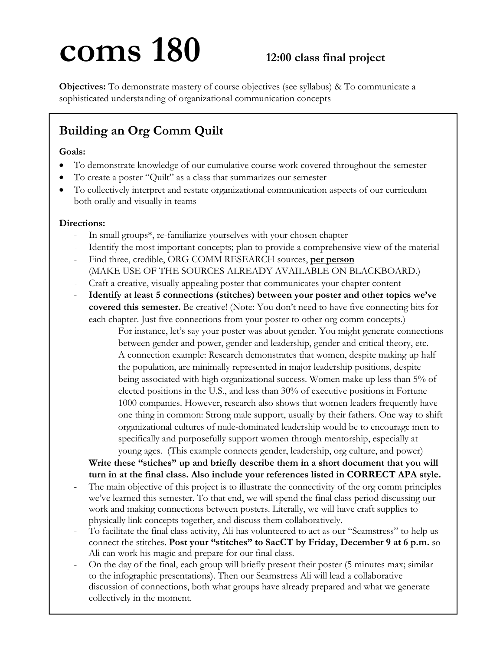# **coms 180** 12:00 class final project

**Objectives:** To demonstrate mastery of course objectives (see syllabus) & To communicate a sophisticated understanding of organizational communication concepts

## **Building an Org Comm Quilt**

## **Goals:**

- To demonstrate knowledge of our cumulative course work covered throughout the semester
- To create a poster "Quilt" as a class that summarizes our semester
- To collectively interpret and restate organizational communication aspects of our curriculum both orally and visually in teams

## **Directions:**

- In small groups\*, re-familiarize yourselves with your chosen chapter
- Identify the most important concepts; plan to provide a comprehensive view of the material
- Find three, credible, ORG COMM RESEARCH sources, **per person** (MAKE USE OF THE SOURCES ALREADY AVAILABLE ON BLACKBOARD.)
- Craft a creative, visually appealing poster that communicates your chapter content
- **Identify at least 5 connections (stitches) between your poster and other topics we've covered this semester.** Be creative! (Note: You don't need to have five connecting bits for each chapter. Just five connections from your poster to other org comm concepts.)

 For instance, let's say your poster was about gender. You might generate connections between gender and power, gender and leadership, gender and critical theory, etc. A connection example: Research demonstrates that women, despite making up half the population, are minimally represented in major leadership positions, despite being associated with high organizational success. Women make up less than 5% of elected positions in the U.S., and less than 30% of executive positions in Fortune 1000 companies. However, research also shows that women leaders frequently have one thing in common: Strong male support, usually by their fathers. One way to shift organizational cultures of male-dominated leadership would be to encourage men to specifically and purposefully support women through mentorship, especially at young ages. (This example connects gender, leadership, org culture, and power)

**Write these "stiches" up and briefly describe them in a short document that you will turn in at the final class. Also include your references listed in CORRECT APA style.** 

- The main objective of this project is to illustrate the connectivity of the org comm principles we've learned this semester. To that end, we will spend the final class period discussing our work and making connections between posters. Literally, we will have craft supplies to physically link concepts together, and discuss them collaboratively.
- To facilitate the final class activity, Ali has volunteered to act as our "Seamstress" to help us connect the stitches. **Post your "stitches" to SacCT by Friday, December 9 at 6 p.m.** so Ali can work his magic and prepare for our final class.
- On the day of the final, each group will briefly present their poster (5 minutes max; similar to the infographic presentations). Then our Seamstress Ali will lead a collaborative discussion of connections, both what groups have already prepared and what we generate collectively in the moment.